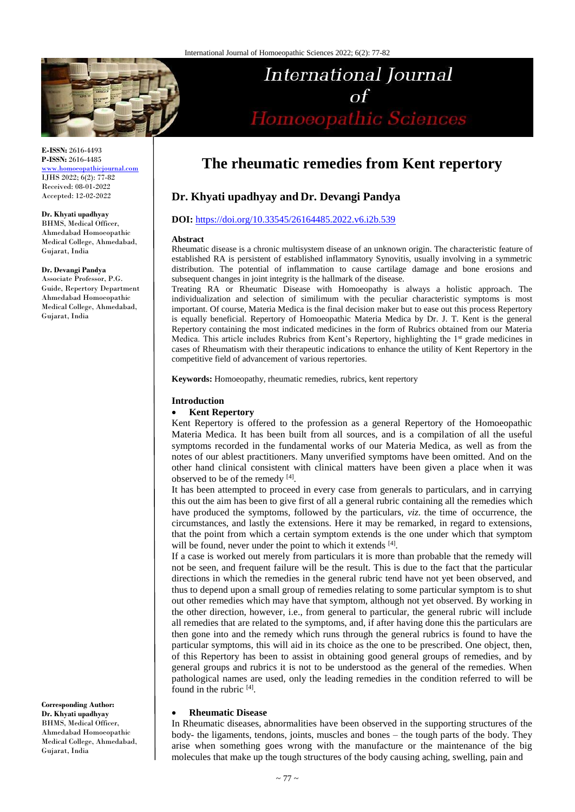

**E-ISSN:** 2616-4493 **P-ISSN:** 2616-4485 [www.homoeopathicjournal.com](file://Server/test/homoeopathicjournal/issue/vol%204/issue%201/www.homoeopathicjournal.com) IJHS 2022; 6(2): 77-82

Received: 08-01-2022 Accepted: 12-02-2022

#### **Dr. Khyati upadhyay**

BHMS, Medical Officer, Ahmedabad Homoeopathic Medical College, Ahmedabad, Gujarat, India

#### **Dr. Devangi Pandya**

Associate Professor, P.G. Guide, Repertory Department Ahmedabad Homoeopathic Medical College, Ahmedabad, Gujarat, India

**Corresponding Author: Dr. Khyati upadhyay** BHMS, Medical Officer, Ahmedabad Homoeopathic Medical College, Ahmedabad, Gujarat, India

# **The rheumatic remedies from Kent repertory**

International Journal

Homoeopathic Sciences

# **Dr. Khyati upadhyay and Dr. Devangi Pandya**

#### **DOI:** <https://doi.org/10.33545/26164485.2022.v6.i2b.539>

#### **Abstract**

Rheumatic disease is a chronic multisystem disease of an unknown origin. The characteristic feature of established RA is persistent of established inflammatory Synovitis, usually involving in a symmetric distribution. The potential of inflammation to cause cartilage damage and bone erosions and subsequent changes in joint integrity is the hallmark of the disease.

Treating RA or Rheumatic Disease with Homoeopathy is always a holistic approach. The individualization and selection of similimum with the peculiar characteristic symptoms is most important. Of course, Materia Medica is the final decision maker but to ease out this process Repertory is equally beneficial. Repertory of Homoeopathic Materia Medica by Dr. J. T. Kent is the general Repertory containing the most indicated medicines in the form of Rubrics obtained from our Materia Medica. This article includes Rubrics from Kent's Repertory, highlighting the 1<sup>st</sup> grade medicines in cases of Rheumatism with their therapeutic indications to enhance the utility of Kent Repertory in the competitive field of advancement of various repertories.

**Keywords:** Homoeopathy, rheumatic remedies, rubrics, kent repertory

#### **Introduction**

#### **Kent Repertory**

Kent Repertory is offered to the profession as a general Repertory of the Homoeopathic Materia Medica. It has been built from all sources, and is a compilation of all the useful symptoms recorded in the fundamental works of our Materia Medica, as well as from the notes of our ablest practitioners. Many unverified symptoms have been omitted. And on the other hand clinical consistent with clinical matters have been given a place when it was observed to be of the remedy [4].

It has been attempted to proceed in every case from generals to particulars, and in carrying this out the aim has been to give first of all a general rubric containing all the remedies which have produced the symptoms, followed by the particulars, *viz*. the time of occurrence, the circumstances, and lastly the extensions. Here it may be remarked, in regard to extensions, that the point from which a certain symptom extends is the one under which that symptom will be found, never under the point to which it extends [4].

If a case is worked out merely from particulars it is more than probable that the remedy will not be seen, and frequent failure will be the result. This is due to the fact that the particular directions in which the remedies in the general rubric tend have not yet been observed, and thus to depend upon a small group of remedies relating to some particular symptom is to shut out other remedies which may have that symptom, although not yet observed. By working in the other direction, however, i.e., from general to particular, the general rubric will include all remedies that are related to the symptoms, and, if after having done this the particulars are then gone into and the remedy which runs through the general rubrics is found to have the particular symptoms, this will aid in its choice as the one to be prescribed. One object, then, of this Repertory has been to assist in obtaining good general groups of remedies, and by general groups and rubrics it is not to be understood as the general of the remedies. When pathological names are used, only the leading remedies in the condition referred to will be found in the rubric [4].

#### **Rheumatic Disease**

In Rheumatic diseases, abnormalities have been observed in the supporting structures of the body- the ligaments, tendons, joints, muscles and bones – the tough parts of the body. They arise when something goes wrong with the manufacture or the maintenance of the big molecules that make up the tough structures of the body causing aching, swelling, pain and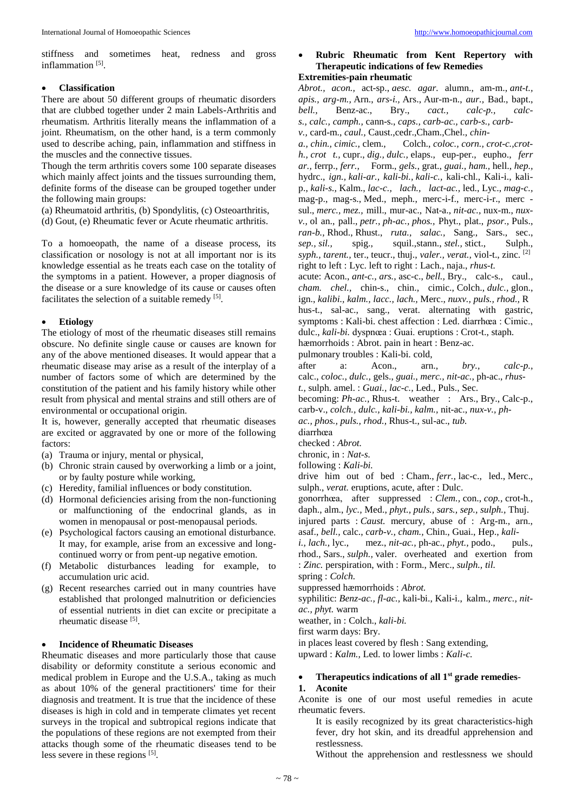stiffness and sometimes heat, redness and gross inflammation<sup>[5]</sup>.

## **Classification**

There are about 50 different groups of rheumatic disorders that are clubbed together under 2 main Labels-Arthritis and rheumatism. Arthritis literally means the inflammation of a joint. Rheumatism, on the other hand, is a term commonly used to describe aching, pain, inflammation and stiffness in the muscles and the connective tissues.

Though the term arthritis covers some 100 separate diseases which mainly affect joints and the tissues surrounding them, definite forms of the disease can be grouped together under the following main groups:

(a) Rheumatoid arthritis, (b) Spondylitis, (c) Osteoarthritis,

(d) Gout, (e) Rheumatic fever or Acute rheumatic arthritis.

To a homoeopath, the name of a disease process, its classification or nosology is not at all important nor is its knowledge essential as he treats each case on the totality of the symptoms in a patient. However, a proper diagnosis of the disease or a sure knowledge of its cause or causes often facilitates the selection of a suitable remedy [5].

#### **Etiology**

The etiology of most of the rheumatic diseases still remains obscure. No definite single cause or causes are known for any of the above mentioned diseases. It would appear that a rheumatic disease may arise as a result of the interplay of a number of factors some of which are determined by the constitution of the patient and his family history while other result from physical and mental strains and still others are of environmental or occupational origin.

It is, however, generally accepted that rheumatic diseases are excited or aggravated by one or more of the following factors:

- (a) Trauma or injury, mental or physical,
- (b) Chronic strain caused by overworking a limb or a joint, or by faulty posture while working,
- (c) Heredity, familial influences or body constitution.
- (d) Hormonal deficiencies arising from the non-functioning or malfunctioning of the endocrinal glands, as in women in menopausal or post-menopausal periods.
- (e) Psychological factors causing an emotional disturbance. It may, for example, arise from an excessive and longcontinued worry or from pent-up negative emotion.
- (f) Metabolic disturbances leading for example, to accumulation uric acid.
- (g) Recent researches carried out in many countries have established that prolonged malnutrition or deficiencies of essential nutrients in diet can excite or precipitate a rheumatic disease [5].

#### **Incidence of Rheumatic Diseases**

Rheumatic diseases and more particularly those that cause disability or deformity constitute a serious economic and medical problem in Europe and the U.S.A., taking as much as about 10% of the general practitioners' time for their diagnosis and treatment. It is true that the incidence of these diseases is high in cold and in temperate climates yet recent surveys in the tropical and subtropical regions indicate that the populations of these regions are not exempted from their attacks though some of the rheumatic diseases tend to be less severe in these regions [5].

#### **Rubric Rheumatic from Kent Repertory with Therapeutic indications of few Remedies Extremities-pain rheumatic**

*Abrot., acon.,* act-sp., *aesc. agar.* alumn., am-m., *ant-t., apis., arg-m.,* Arn., *ars-i.,* Ars., Aur-m-n., *aur.,* Bad., bapt., *bell.,* Benz-ac., Bry., *cact., calc-p., calcs., calc., camph.,* cann-s., *caps., carb-ac., carb-s., carbv.,* card-m., *caul.,* Caust.,cedr.,Cham.,Chel., *china., chin., cimic.,* clem., Colch., *coloc., corn., crot-c.,croth., crot t.,* cupr., *dig., dulc.,* elaps., eup-per., eupho., *ferr ar.,* ferrp., *ferr.,* Form., *gels.,* grat., *guai., ham.,* hell., *hep.,*  hydrc., *ign., kali-ar., kali-bi., kali-c.,* kali-chl., Kali-i., kalip., *kali-s.,* Kalm., *lac-c., lach., lact-ac.,* led., Lyc., *mag-c.,*  mag-p., mag-s., Med., meph., merc-i-f., merc-i-r., merc sul., *merc., mez.,* mill., mur-ac., Nat-a., *nit-ac.,* nux-m., *nuxv.,* ol an., pall., *petr., ph-ac., phos.,* Phyt., plat., *psor.,* Puls., *ran-b.,* Rhod., Rhust., *ruta., salac.,* Sang., Sars., sec., *sep., sil.,* spig., squil.,stann., *stel.,* stict., Sulph., *syph., tarent.,* ter., teucr., thuj., *valer., verat.,* viol-t., zinc. [2]

right to left : Lyc. left to right : Lach., naja., *rhus-t.*

acute: Acon., *ant-c., ars.,* asc-c., *bell.,* Bry., calc-s., caul., *cham. chel.,* chin-s., chin., cimic., Colch., *dulc.,* glon., ign., *kalibi., kalm., lacc., lach.,* Merc., *nuxv., puls., rhod.,* R hus-t., sal-ac., sang., verat. alternating with gastric, symptoms : Kali-bi. chest affection : Led. diarrhœa : Cimic., dulc., *kali-bi.* dyspnœa : Guai. eruptions : Crot-t., staph.

hæmorrhoids : Abrot. pain in heart : Benz-ac.

pulmonary troubles : Kali-bi. cold,

after a: Acon., arn., *bry., calc-p.,*  calc., *coloc., dulc.,* gels., *guai., merc., nit-ac.,* ph-ac., *rhus-*

*t.,* sulph. amel. : *Guai., lac-c.,* Led., Puls., Sec.

becoming: *Ph-ac.,* Rhus-t. weather : Ars., Bry., Calc-p., carb-v., *colch., dulc., kali-bi., kalm.,* nit-ac., *nux-v., ph-*

*ac., phos., puls., rhod.,* Rhus-t., sul-ac., *tub.*

diarrhœa

checked : *Abrot.*

chronic, in : *Nat-s.*

following : *Kali-bi.*

drive him out of bed : Cham., *ferr.,* lac-c., led., Merc., sulph., *verat.* eruptions, acute, after : Dulc.

gonorrhœa, after suppressed : *Clem.,* con., *cop.,* crot-h., daph., alm., *lyc.,* Med., *phyt., puls., sars., sep., sulph.,* Thuj. injured parts : *Caust.* mercury, abuse of : Arg-m., arn.,

asaf., *bell.,* calc., *carb-v., cham.,* Chin., Guai., Hep., *kali-*

*i., lach.,* lyc., mez., *nit-ac.,* ph-ac., *phyt.,* podo., puls., rhod., Sars., *sulph.,* valer. overheated and exertion from : *Zinc.* perspiration, with : Form., Merc., *sulph., til.* spring : *Colch.*

suppressed hæmorrhoids : *Abrot.*

syphilitic: *Benz-ac., fl-ac.,* kali-bi., Kali-i., kalm., *merc., nitac., phyt.* warm

weather, in : Colch., *kali-bi.*

first warm days: Bry.

in places least covered by flesh : Sang extending,

upward : *Kalm.,* Led. to lower limbs : *Kali-c.*

**Therapeutics indications of all 1st grade remedies**-

## **1. Aconite**

Aconite is one of our most useful remedies in acute rheumatic fevers.

It is easily recognized by its great characteristics-high fever, dry hot skin, and its dreadful apprehension and restlessness.

Without the apprehension and restlessness we should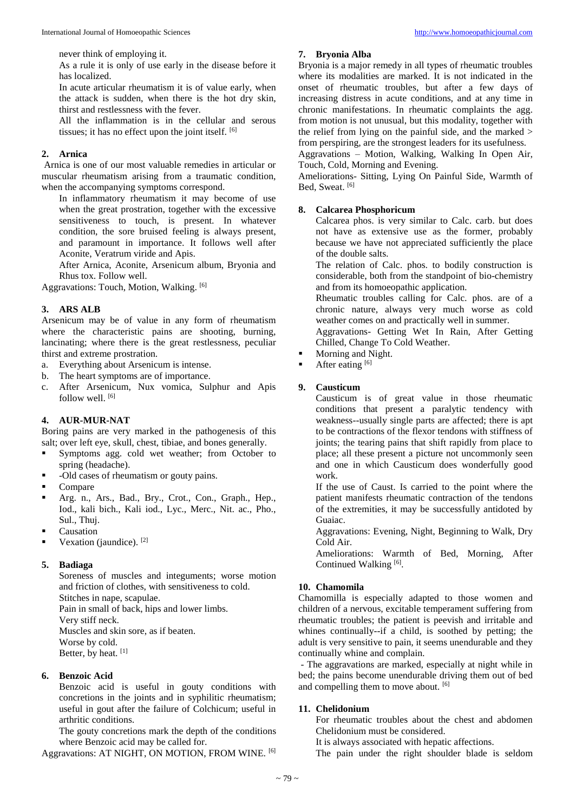never think of employing it.

As a rule it is only of use early in the disease before it has localized.

In acute articular rheumatism it is of value early, when the attack is sudden, when there is the hot dry skin, thirst and restlessness with the fever.

All the inflammation is in the cellular and serous tissues; it has no effect upon the joint itself. [6]

# **2. Arnica**

Arnica is one of our most valuable remedies in articular or muscular rheumatism arising from a traumatic condition, when the accompanying symptoms correspond.

In inflammatory rheumatism it may become of use when the great prostration, together with the excessive sensitiveness to touch, is present. In whatever condition, the sore bruised feeling is always present, and paramount in importance. It follows well after Aconite, Veratrum viride and Apis.

After Arnica, Aconite, Arsenicum album, Bryonia and Rhus tox. Follow well.

Aggravations: Touch, Motion, Walking. [6]

# **3. ARS ALB**

Arsenicum may be of value in any form of rheumatism where the characteristic pains are shooting, burning, lancinating; where there is the great restlessness, peculiar thirst and extreme prostration.

a. Everything about Arsenicum is intense.

- b. The heart symptoms are of importance.
- c. After Arsenicum, Nux vomica, Sulphur and Apis follow well  $[6]$

# **4. AUR-MUR-NAT**

Boring pains are very marked in the pathogenesis of this salt; over left eye, skull, chest, tibiae, and bones generally.

- Symptoms agg. cold wet weather; from October to spring (headache).
- $\blacksquare$  -Old cases of rheumatism or gouty pains.
- Compare
- Arg. n., Ars., Bad., Bry., Crot., Con., Graph., Hep., Iod., kali bich., Kali iod., Lyc., Merc., Nit. ac., Pho., Sul., Thuj.
- Causation
- Vexation (jaundice). [2]

# **5. Badiaga**

Soreness of muscles and integuments; worse motion and friction of clothes, with sensitiveness to cold. Stitches in nape, scapulae.

Pain in small of back, hips and lower limbs. Very stiff neck. Muscles and skin sore, as if beaten. Worse by cold. Better, by heat. [1]

# **6. Benzoic Acid**

Benzoic acid is useful in gouty conditions with concretions in the joints and in syphilitic rheumatism; useful in gout after the failure of Colchicum; useful in arthritic conditions.

The gouty concretions mark the depth of the conditions where Benzoic acid may be called for.

Aggravations: AT NIGHT, ON MOTION, FROM WINE. [6]

## **7. Bryonia Alba**

Bryonia is a major remedy in all types of rheumatic troubles where its modalities are marked. It is not indicated in the onset of rheumatic troubles, but after a few days of increasing distress in acute conditions, and at any time in chronic manifestations. In rheumatic complaints the agg. from motion is not unusual, but this modality, together with the relief from lying on the painful side, and the marked > from perspiring, are the strongest leaders for its usefulness.

Aggravations – Motion, Walking, Walking In Open Air, Touch, Cold, Morning and Evening.

Ameliorations- Sitting, Lying On Painful Side, Warmth of Bed, Sweat.<sup>[6]</sup>

# **8. Calcarea Phosphoricum**

Calcarea phos. is very similar to Calc. carb. but does not have as extensive use as the former, probably because we have not appreciated sufficiently the place of the double salts.

The relation of Calc. phos. to bodily construction is considerable, both from the standpoint of bio-chemistry and from its homoeopathic application.

Rheumatic troubles calling for Calc. phos. are of a chronic nature, always very much worse as cold weather comes on and practically well in summer.

Aggravations- Getting Wet In Rain, After Getting Chilled, Change To Cold Weather.

- **Morning and Night.**
- After eating [6]

# **9. Causticum**

Causticum is of great value in those rheumatic conditions that present a paralytic tendency with weakness--usually single parts are affected; there is apt to be contractions of the flexor tendons with stiffness of joints; the tearing pains that shift rapidly from place to place; all these present a picture not uncommonly seen and one in which Causticum does wonderfully good work.

If the use of Caust. Is carried to the point where the patient manifests rheumatic contraction of the tendons of the extremities, it may be successfully antidoted by Guaiac.

Aggravations: Evening, Night, Beginning to Walk, Dry Cold Air.

Ameliorations: Warmth of Bed, Morning, After Continued Walking<sup>[6]</sup>.

# **10. Chamomila**

Chamomilla is especially adapted to those women and children of a nervous, excitable temperament suffering from rheumatic troubles; the patient is peevish and irritable and whines continually--if a child, is soothed by petting; the adult is very sensitive to pain, it seems unendurable and they continually whine and complain.

- The aggravations are marked, especially at night while in bed; the pains become unendurable driving them out of bed and compelling them to move about. [6]

# **11. Chelidonium**

For rheumatic troubles about the chest and abdomen Chelidonium must be considered.

It is always associated with hepatic affections.

The pain under the right shoulder blade is seldom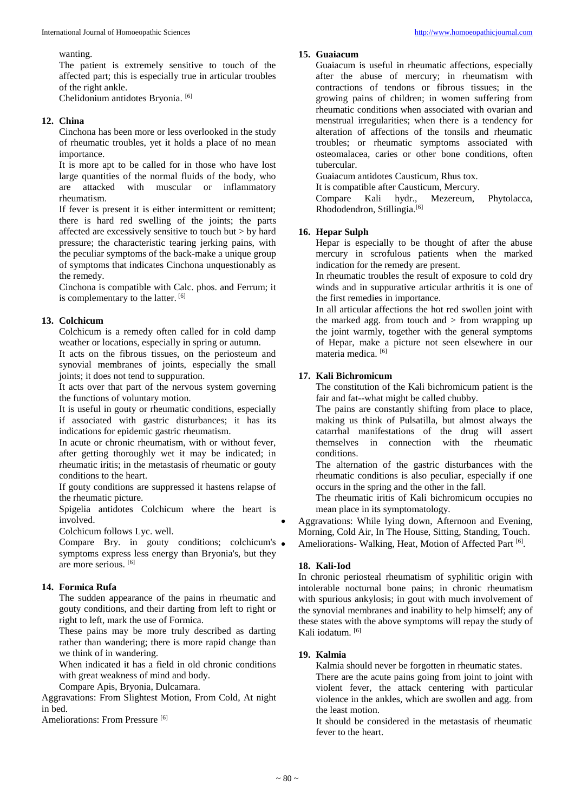The patient is extremely sensitive to touch of the affected part; this is especially true in articular troubles of the right ankle.

Chelidonium antidotes Bryonia. [6]

## **12. China**

Cinchona has been more or less overlooked in the study of rheumatic troubles, yet it holds a place of no mean importance.

It is more apt to be called for in those who have lost large quantities of the normal fluids of the body, who are attacked with muscular or inflammatory rheumatism.

If fever is present it is either intermittent or remittent; there is hard red swelling of the joints; the parts affected are excessively sensitive to touch but > by hard pressure; the characteristic tearing jerking pains, with the peculiar symptoms of the back-make a unique group of symptoms that indicates Cinchona unquestionably as the remedy.

Cinchona is compatible with Calc. phos. and Ferrum; it is complementary to the latter. [6]

# **13. Colchicum**

Colchicum is a remedy often called for in cold damp weather or locations, especially in spring or autumn.

It acts on the fibrous tissues, on the periosteum and synovial membranes of joints, especially the small joints; it does not tend to suppuration.

It acts over that part of the nervous system governing the functions of voluntary motion.

It is useful in gouty or rheumatic conditions, especially if associated with gastric disturbances; it has its indications for epidemic gastric rheumatism.

In acute or chronic rheumatism, with or without fever, after getting thoroughly wet it may be indicated; in rheumatic iritis; in the metastasis of rheumatic or gouty conditions to the heart.

If gouty conditions are suppressed it hastens relapse of the rheumatic picture.

Spigelia antidotes Colchicum where the heart is involved.

Colchicum follows Lyc. well.

Compare Bry. in gouty conditions; colchicum's symptoms express less energy than Bryonia's, but they are more serious. [6]

#### **14. Formica Rufa**

The sudden appearance of the pains in rheumatic and gouty conditions, and their darting from left to right or right to left, mark the use of Formica.

These pains may be more truly described as darting rather than wandering; there is more rapid change than we think of in wandering.

When indicated it has a field in old chronic conditions with great weakness of mind and body.

Compare Apis, Bryonia, Dulcamara.

Aggravations: From Slightest Motion, From Cold, At night in bed.

Ameliorations: From Pressure [6]

## **15. Guaiacum**

Guaiacum is useful in rheumatic affections, especially after the abuse of mercury; in rheumatism with contractions of tendons or fibrous tissues; in the growing pains of children; in women suffering from rheumatic conditions when associated with ovarian and menstrual irregularities; when there is a tendency for alteration of affections of the tonsils and rheumatic troubles; or rheumatic symptoms associated with osteomalacea, caries or other bone conditions, often tubercular.

Guaiacum antidotes Causticum, Rhus tox.

It is compatible after Causticum, Mercury.

Compare Kali hydr., Mezereum, Phytolacca, Rhododendron, Stillingia.[6]

## **16. Hepar Sulph**

Hepar is especially to be thought of after the abuse mercury in scrofulous patients when the marked indication for the remedy are present.

In rheumatic troubles the result of exposure to cold dry winds and in suppurative articular arthritis it is one of the first remedies in importance.

In all articular affections the hot red swollen joint with the marked agg. from touch and  $>$  from wrapping up the joint warmly, together with the general symptoms of Hepar, make a picture not seen elsewhere in our materia medica.<sup>[6]</sup>

## **17. Kali Bichromicum**

The constitution of the Kali bichromicum patient is the fair and fat--what might be called chubby.

The pains are constantly shifting from place to place, making us think of Pulsatilla, but almost always the catarrhal manifestations of the drug will assert themselves in connection with the rheumatic conditions.

The alternation of the gastric disturbances with the rheumatic conditions is also peculiar, especially if one occurs in the spring and the other in the fall.

The rheumatic iritis of Kali bichromicum occupies no mean place in its symptomatology.

 Aggravations: While lying down, Afternoon and Evening, Morning, Cold Air, In The House, Sitting, Standing, Touch. • Ameliorations- Walking, Heat, Motion of Affected Part [6].

#### **18. Kali-Iod**

In chronic periosteal rheumatism of syphilitic origin with intolerable nocturnal bone pains; in chronic rheumatism with spurious ankylosis; in gout with much involvement of the synovial membranes and inability to help himself; any of these states with the above symptoms will repay the study of Kali iodatum. [6]

#### **19. Kalmia**

Kalmia should never be forgotten in rheumatic states.

There are the acute pains going from joint to joint with violent fever, the attack centering with particular violence in the ankles, which are swollen and agg. from the least motion.

It should be considered in the metastasis of rheumatic fever to the heart.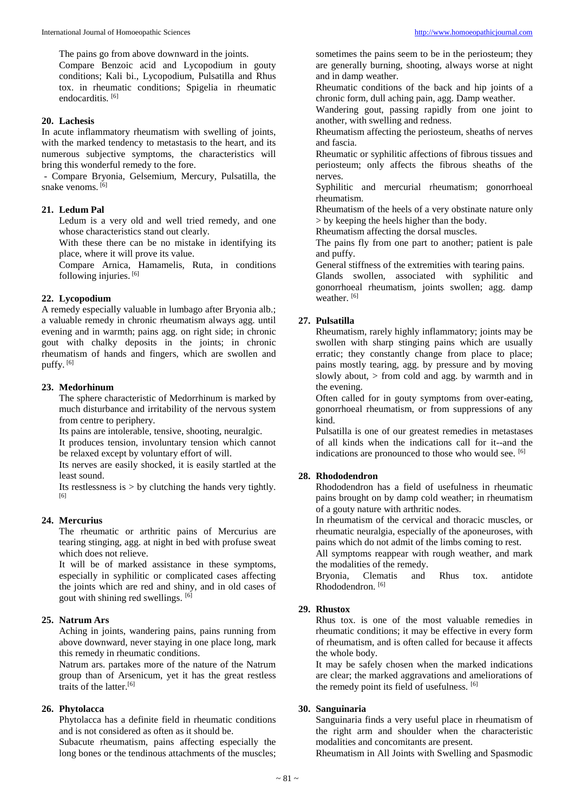The pains go from above downward in the joints.

Compare Benzoic acid and Lycopodium in gouty conditions; Kali bi., Lycopodium, Pulsatilla and Rhus tox. in rheumatic conditions; Spigelia in rheumatic endocarditis. [6]

# **20. Lachesis**

In acute inflammatory rheumatism with swelling of joints, with the marked tendency to metastasis to the heart, and its numerous subjective symptoms, the characteristics will bring this wonderful remedy to the fore.

- Compare Bryonia, Gelsemium, Mercury, Pulsatilla, the snake venoms. [6]

# **21. Ledum Pal**

Ledum is a very old and well tried remedy, and one whose characteristics stand out clearly.

With these there can be no mistake in identifying its place, where it will prove its value.

Compare Arnica, Hamamelis, Ruta, in conditions following injuries. [6]

# **22. Lycopodium**

A remedy especially valuable in lumbago after Bryonia alb.; a valuable remedy in chronic rheumatism always agg. until evening and in warmth; pains agg. on right side; in chronic gout with chalky deposits in the joints; in chronic rheumatism of hands and fingers, which are swollen and puffy. [6]

# **23. Medorhinum**

The sphere characteristic of Medorrhinum is marked by much disturbance and irritability of the nervous system from centre to periphery.

Its pains are intolerable, tensive, shooting, neuralgic.

It produces tension, involuntary tension which cannot be relaxed except by voluntary effort of will.

Its nerves are easily shocked, it is easily startled at the least sound.

Its restlessness is  $>$  by clutching the hands very tightly. [6]

# **24. Mercurius**

The rheumatic or arthritic pains of Mercurius are tearing stinging, agg. at night in bed with profuse sweat which does not relieve.

It will be of marked assistance in these symptoms, especially in syphilitic or complicated cases affecting the joints which are red and shiny, and in old cases of gout with shining red swellings. [6]

# **25. Natrum Ars**

Aching in joints, wandering pains, pains running from above downward, never staying in one place long, mark this remedy in rheumatic conditions.

Natrum ars. partakes more of the nature of the Natrum group than of Arsenicum, yet it has the great restless traits of the latter.[6]

# **26. Phytolacca**

Phytolacca has a definite field in rheumatic conditions and is not considered as often as it should be.

Subacute rheumatism, pains affecting especially the long bones or the tendinous attachments of the muscles; sometimes the pains seem to be in the periosteum; they are generally burning, shooting, always worse at night and in damp weather.

Rheumatic conditions of the back and hip joints of a chronic form, dull aching pain, agg. Damp weather.

Wandering gout, passing rapidly from one joint to another, with swelling and redness.

Rheumatism affecting the periosteum, sheaths of nerves and fascia.

Rheumatic or syphilitic affections of fibrous tissues and periosteum; only affects the fibrous sheaths of the nerves.

Syphilitic and mercurial rheumatism; gonorrhoeal rheumatism.

Rheumatism of the heels of a very obstinate nature only > by keeping the heels higher than the body.

Rheumatism affecting the dorsal muscles.

The pains fly from one part to another; patient is pale and puffy.

General stiffness of the extremities with tearing pains.

Glands swollen, associated with syphilitic and gonorrhoeal rheumatism, joints swollen; agg. damp weather.<sup>[6]</sup>

# **27. Pulsatilla**

Rheumatism, rarely highly inflammatory; joints may be swollen with sharp stinging pains which are usually erratic; they constantly change from place to place; pains mostly tearing, agg. by pressure and by moving slowly about, > from cold and agg. by warmth and in the evening.

Often called for in gouty symptoms from over-eating, gonorrhoeal rheumatism, or from suppressions of any kind.

Pulsatilla is one of our greatest remedies in metastases of all kinds when the indications call for it--and the indications are pronounced to those who would see. [6]

# **28. Rhododendron**

Rhododendron has a field of usefulness in rheumatic pains brought on by damp cold weather; in rheumatism of a gouty nature with arthritic nodes.

In rheumatism of the cervical and thoracic muscles, or rheumatic neuralgia, especially of the aponeuroses, with pains which do not admit of the limbs coming to rest.

All symptoms reappear with rough weather, and mark the modalities of the remedy.

Bryonia, Clematis and Rhus tox. antidote Rhododendron.<sup>[6]</sup>

# **29. Rhustox**

Rhus tox. is one of the most valuable remedies in rheumatic conditions; it may be effective in every form of rheumatism, and is often called for because it affects the whole body.

It may be safely chosen when the marked indications are clear; the marked aggravations and ameliorations of the remedy point its field of usefulness. [6]

# **30. Sanguinaria**

Sanguinaria finds a very useful place in rheumatism of the right arm and shoulder when the characteristic modalities and concomitants are present. Rheumatism in All Joints with Swelling and Spasmodic